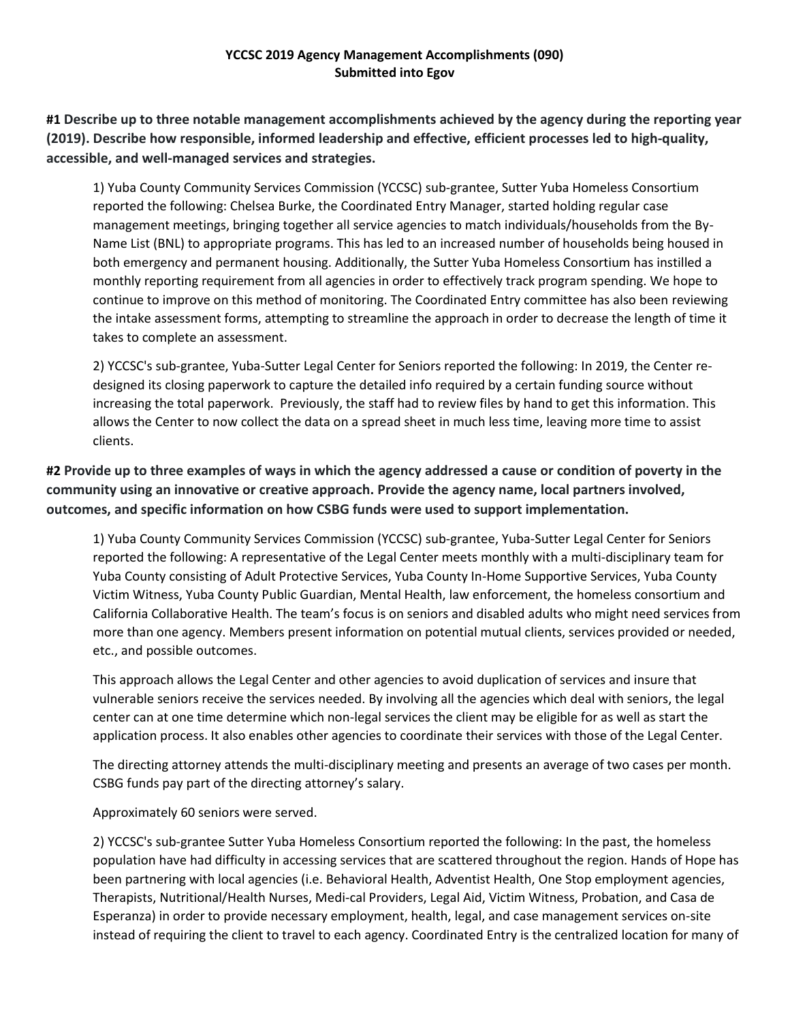# **YCCSC 2019 Agency Management Accomplishments (090) Submitted into Egov**

**#1 Describe up to three notable management accomplishments achieved by the agency during the reporting year (2019). Describe how responsible, informed leadership and effective, efficient processes led to high‐quality, accessible, and well‐managed services and strategies.**

1) Yuba County Community Services Commission (YCCSC) sub-grantee, Sutter Yuba Homeless Consortium reported the following: Chelsea Burke, the Coordinated Entry Manager, started holding regular case management meetings, bringing together all service agencies to match individuals/households from the By-Name List (BNL) to appropriate programs. This has led to an increased number of households being housed in both emergency and permanent housing. Additionally, the Sutter Yuba Homeless Consortium has instilled a monthly reporting requirement from all agencies in order to effectively track program spending. We hope to continue to improve on this method of monitoring. The Coordinated Entry committee has also been reviewing the intake assessment forms, attempting to streamline the approach in order to decrease the length of time it takes to complete an assessment.

2) YCCSC's sub-grantee, Yuba-Sutter Legal Center for Seniors reported the following: In 2019, the Center redesigned its closing paperwork to capture the detailed info required by a certain funding source without increasing the total paperwork. Previously, the staff had to review files by hand to get this information. This allows the Center to now collect the data on a spread sheet in much less time, leaving more time to assist clients.

**#2 Provide up to three examples of ways in which the agency addressed a cause or condition of poverty in the community using an innovative or creative approach. Provide the agency name, local partners involved, outcomes, and specific information on how CSBG funds were used to support implementation.**

1) Yuba County Community Services Commission (YCCSC) sub-grantee, Yuba-Sutter Legal Center for Seniors reported the following: A representative of the Legal Center meets monthly with a multi-disciplinary team for Yuba County consisting of Adult Protective Services, Yuba County In-Home Supportive Services, Yuba County Victim Witness, Yuba County Public Guardian, Mental Health, law enforcement, the homeless consortium and California Collaborative Health. The team's focus is on seniors and disabled adults who might need services from more than one agency. Members present information on potential mutual clients, services provided or needed, etc., and possible outcomes.

This approach allows the Legal Center and other agencies to avoid duplication of services and insure that vulnerable seniors receive the services needed. By involving all the agencies which deal with seniors, the legal center can at one time determine which non-legal services the client may be eligible for as well as start the application process. It also enables other agencies to coordinate their services with those of the Legal Center.

The directing attorney attends the multi-disciplinary meeting and presents an average of two cases per month. CSBG funds pay part of the directing attorney's salary.

Approximately 60 seniors were served.

2) YCCSC's sub-grantee Sutter Yuba Homeless Consortium reported the following: In the past, the homeless population have had difficulty in accessing services that are scattered throughout the region. Hands of Hope has been partnering with local agencies (i.e. Behavioral Health, Adventist Health, One Stop employment agencies, Therapists, Nutritional/Health Nurses, Medi-cal Providers, Legal Aid, Victim Witness, Probation, and Casa de Esperanza) in order to provide necessary employment, health, legal, and case management services on-site instead of requiring the client to travel to each agency. Coordinated Entry is the centralized location for many of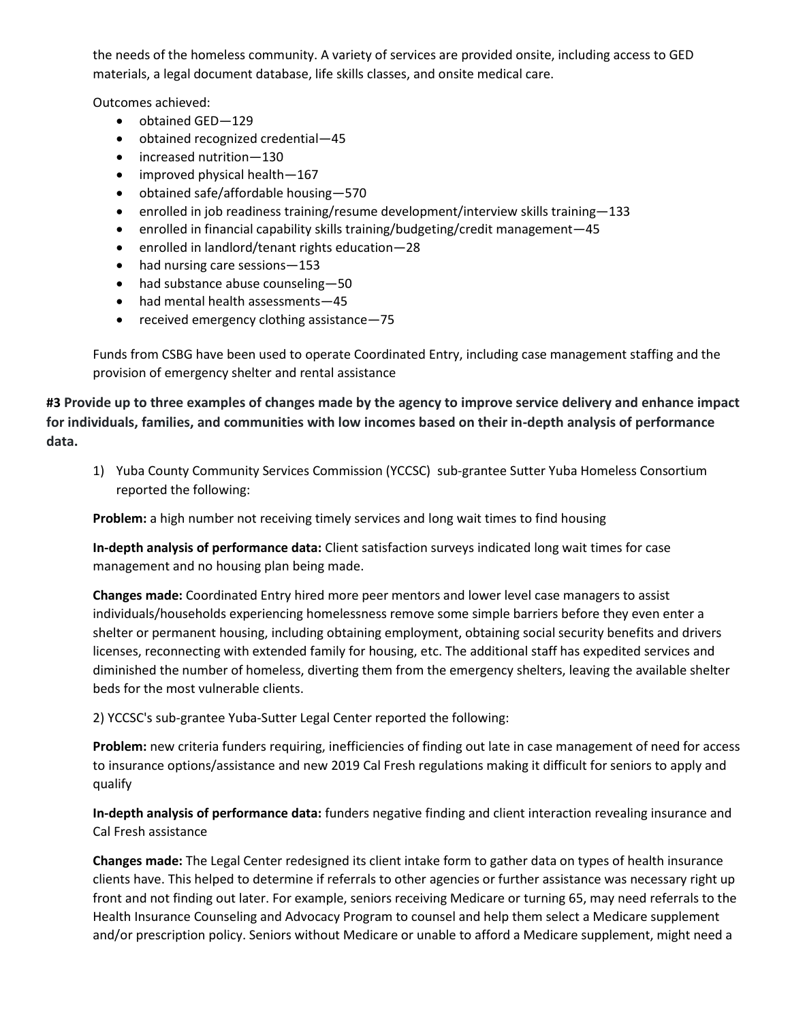the needs of the homeless community. A variety of services are provided onsite, including access to GED materials, a legal document database, life skills classes, and onsite medical care.

Outcomes achieved:

- obtained GED-129
- obtained recognized credential—45
- increased nutrition-130
- improved physical health—167
- obtained safe/affordable housing—570
- enrolled in job readiness training/resume development/interview skills training—133
- enrolled in financial capability skills training/budgeting/credit management—45
- enrolled in landlord/tenant rights education—28
- had nursing care sessions 153
- had substance abuse counseling-50
- had mental health assessments-45
- received emergency clothing assistance—75

Funds from CSBG have been used to operate Coordinated Entry, including case management staffing and the provision of emergency shelter and rental assistance

**#3 Provide up to three examples of changes made by the agency to improve service delivery and enhance impact for individuals, families, and communities with low incomes based on their in-depth analysis of performance data.**

1) Yuba County Community Services Commission (YCCSC) sub-grantee Sutter Yuba Homeless Consortium reported the following:

**Problem:** a high number not receiving timely services and long wait times to find housing

**In-depth analysis of performance data:** Client satisfaction surveys indicated long wait times for case management and no housing plan being made.

**Changes made:** Coordinated Entry hired more peer mentors and lower level case managers to assist individuals/households experiencing homelessness remove some simple barriers before they even enter a shelter or permanent housing, including obtaining employment, obtaining social security benefits and drivers licenses, reconnecting with extended family for housing, etc. The additional staff has expedited services and diminished the number of homeless, diverting them from the emergency shelters, leaving the available shelter beds for the most vulnerable clients.

2) YCCSC's sub-grantee Yuba-Sutter Legal Center reported the following:

**Problem:** new criteria funders requiring, inefficiencies of finding out late in case management of need for access to insurance options/assistance and new 2019 Cal Fresh regulations making it difficult for seniors to apply and qualify

**In-depth analysis of performance data:** funders negative finding and client interaction revealing insurance and Cal Fresh assistance

**Changes made:** The Legal Center redesigned its client intake form to gather data on types of health insurance clients have. This helped to determine if referrals to other agencies or further assistance was necessary right up front and not finding out later. For example, seniors receiving Medicare or turning 65, may need referrals to the Health Insurance Counseling and Advocacy Program to counsel and help them select a Medicare supplement and/or prescription policy. Seniors without Medicare or unable to afford a Medicare supplement, might need a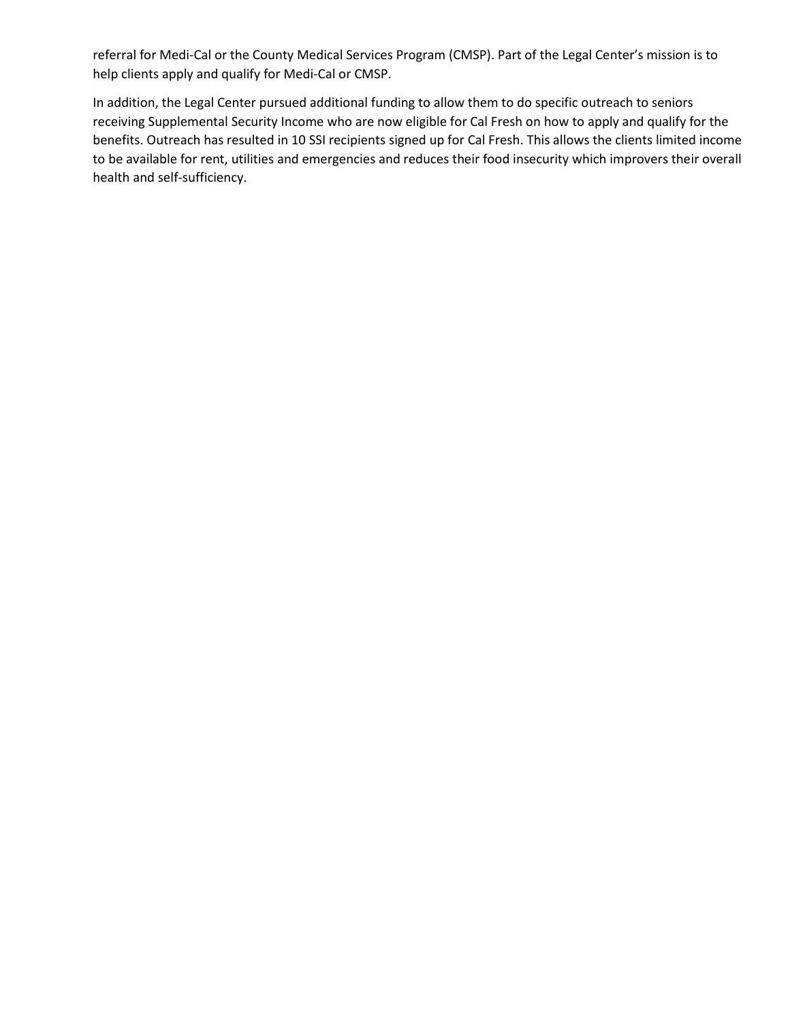referral for Medi-Cal or the County Medical Services Program (CMSP). Part of the Legal Center's mission is to help clients apply and qualify for Medi-Cal or CMSP.

In addition, the Legal Center pursued additional funding to allow them to do specific outreach to seniors receiving Supplemental Security Income who are now eligible for Cal Fresh on how to apply and qualify for the benefits. Outreach has resulted in 10 SSI recipients signed up for Cal Fresh. This allows the clients limited income to be available for rent, utilities and emergencies and reduces their food insecurity which improvers their overall health and self-sufficiency.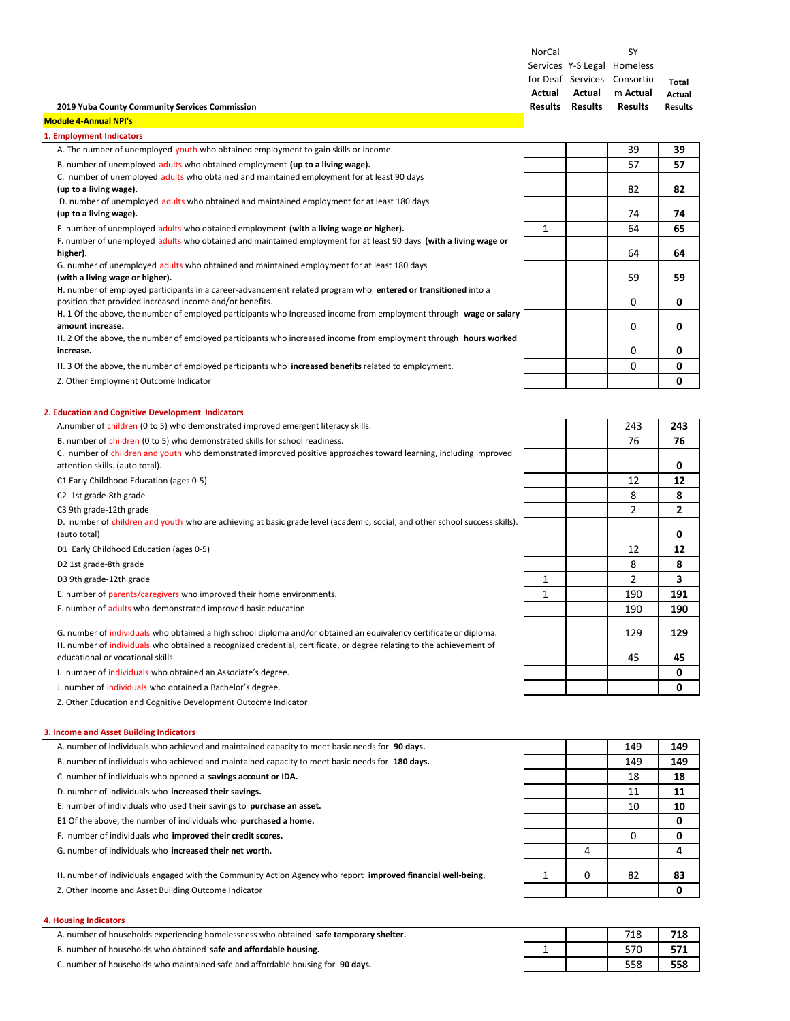NorCal Services Y‐S Legal Homeless for Deaf Services Consortiu **Actual Results Results Actual** m **Actual** SY **Results Total Actual Results**

## **2019 Yuba County Community Services Commission**

### **Module 4‐Annual NPI's**

| <b>Employment Indicators</b>                                                                                       |   |    |    |
|--------------------------------------------------------------------------------------------------------------------|---|----|----|
| A. The number of unemployed youth who obtained employment to gain skills or income.                                |   | 39 | 39 |
| B. number of unemployed adults who obtained employment (up to a living wage).                                      |   | 57 | 57 |
| C. number of unemployed adults who obtained and maintained employment for at least 90 days                         |   |    |    |
| (up to a living wage).                                                                                             |   | 82 | 82 |
| D. number of unemployed adults who obtained and maintained employment for at least 180 days                        |   |    |    |
| (up to a living wage).                                                                                             |   | 74 | 74 |
| E. number of unemployed adults who obtained employment (with a living wage or higher).                             | 1 | 64 | 65 |
| F. number of unemployed adults who obtained and maintained employment for at least 90 days (with a living wage or  |   |    |    |
| higher).                                                                                                           |   | 64 | 64 |
| G. number of unemployed adults who obtained and maintained employment for at least 180 days                        |   |    |    |
| (with a living wage or higher).                                                                                    |   | 59 | 59 |
| H. number of employed participants in a career-advancement related program who entered or transitioned into a      |   |    |    |
| position that provided increased income and/or benefits.                                                           |   | 0  | 0  |
| H. 1 Of the above, the number of employed participants who Increased income from employment through wage or salary |   |    |    |
| amount increase.                                                                                                   |   | 0  | 0  |
| H. 2 Of the above, the number of employed participants who increased income from employment through hours worked   |   |    |    |
| increase.                                                                                                          |   | 0  | 0  |
| H. 3 Of the above, the number of employed participants who increased benefits related to employment.               |   | 0  | 0  |
| Z. Other Employment Outcome Indicator                                                                              |   |    | 0  |
|                                                                                                                    |   |    |    |

### **2. Education and Cognitive Development Indicators**

| A.number of children (0 to 5) who demonstrated improved emergent literacy skills.                                                                         |              | 243 | 243          |
|-----------------------------------------------------------------------------------------------------------------------------------------------------------|--------------|-----|--------------|
| B. number of children (0 to 5) who demonstrated skills for school readiness.                                                                              |              | 76  | 76           |
| C. number of children and youth who demonstrated improved positive approaches toward learning, including improved<br>attention skills. (auto total).      |              |     | 0            |
| C1 Early Childhood Education (ages 0-5)                                                                                                                   |              | 12  | 12           |
| C <sub>2</sub> 1st grade-8th grade                                                                                                                        |              | 8   | 8            |
| C3 9th grade-12th grade                                                                                                                                   |              | 2   | $\mathbf{z}$ |
| D. number of children and youth who are achieving at basic grade level (academic, social, and other school success skills).<br>(auto total)               |              |     | 0            |
| D1 Early Childhood Education (ages 0-5)                                                                                                                   |              | 12  | 12           |
| D2 1st grade-8th grade                                                                                                                                    |              | 8   | 8            |
| D3 9th grade-12th grade                                                                                                                                   | $\mathbf{1}$ | 2   | 3            |
| E. number of parents/caregivers who improved their home environments.                                                                                     | 1            | 190 | 191          |
| F. number of adults who demonstrated improved basic education.                                                                                            |              | 190 | 190          |
| G. number of individuals who obtained a high school diploma and/or obtained an equivalency certificate or diploma.                                        |              | 129 | 129          |
| H. number of individuals who obtained a recognized credential, certificate, or degree relating to the achievement of<br>educational or vocational skills. |              | 45  | 45           |
| I. number of individuals who obtained an Associate's degree.                                                                                              |              |     | 0            |

J. number of individuals who obtained a Bachelor's degree. **0**

Z. Other Education and Cognitive Development Outocme Indicator

## **3. Income and Asset Building Indicators**

- A. number of individuals who achieved and maintained capacity to meet basic needs for 90 days.
- B. number of individuals who achieved and maintained capacity to meet basic needs for 180 days.
- C. number of individuals who opened a **savings account or IDA.** 18 **18**
- **D.** number of individuals who increased their savings.
- E. number of individuals who used their savings to **purchase an asset.**
- E1 Of the above, the number of individuals who **purchased a home. 0**
- F. number of individuals who *improved* their credit scores.
- G. number of individuals who **increased their net worth.** 4 **4**

H. number of individuals engaged with the Community Action Agency who report **improved financial well‐being.** 1 0 82 **83**

Z. Other Income and Asset Building Outcome Indicator **0**

### **4. Housing Indicators**

A. number of households experiencing homelessness who obtained **safe temporary shelter.** 718 **718**

B. number of households who obtained safe and affordable housing.

C. number of households who maintained safe and affordable housing for 90 days.

|   |   | 149 | 149 |
|---|---|-----|-----|
|   |   | 149 | 149 |
|   |   | 18  | 18  |
|   |   | 11  | 11  |
|   |   | 10  | 10  |
|   |   |     | 0   |
|   |   | 0   | 0   |
|   | 4 |     | 4   |
| 1 | 0 | 82  | 83  |
|   |   |     | 0   |

|  | 718 | 718 |
|--|-----|-----|
|  | 570 | 571 |
|  | 558 | 558 |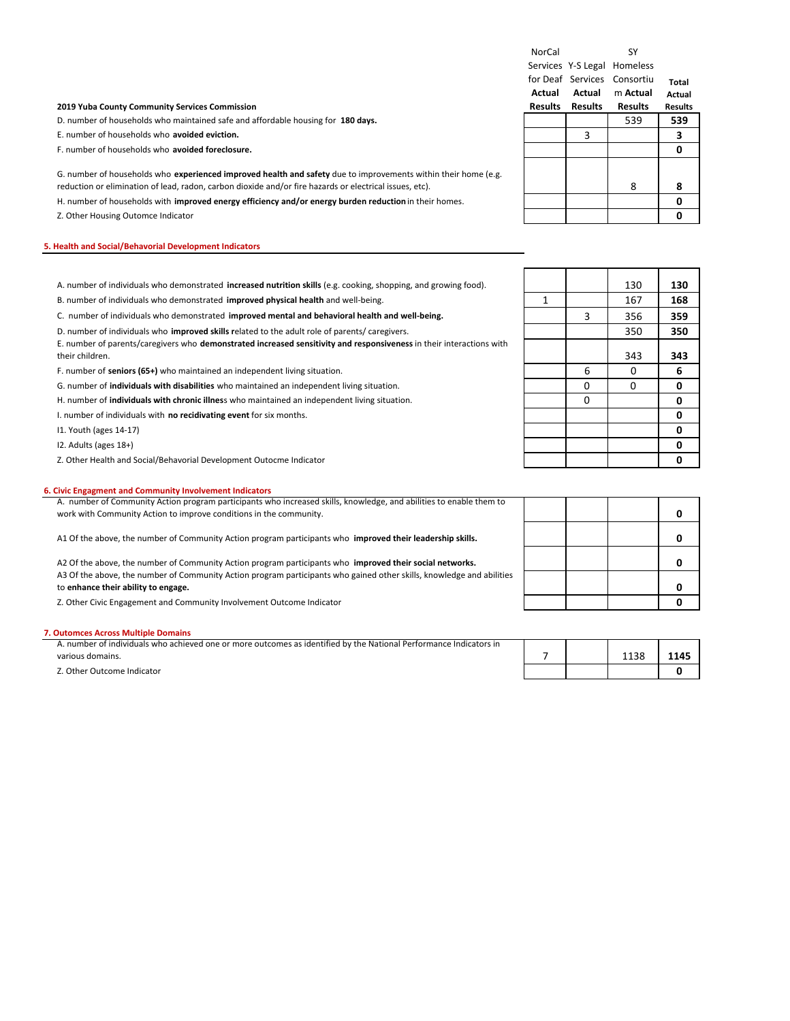|                                                                                                                                                                                                                           | NorCal         |                | SY                          |                |
|---------------------------------------------------------------------------------------------------------------------------------------------------------------------------------------------------------------------------|----------------|----------------|-----------------------------|----------------|
|                                                                                                                                                                                                                           |                |                | Services Y-S Legal Homeless |                |
|                                                                                                                                                                                                                           |                |                | for Deaf Services Consortiu | Total          |
|                                                                                                                                                                                                                           | Actual         | Actual         | m Actual                    | Actual         |
| 2019 Yuba County Community Services Commission                                                                                                                                                                            | <b>Results</b> | <b>Results</b> | <b>Results</b>              | <b>Results</b> |
| D. number of households who maintained safe and affordable housing for 180 days.                                                                                                                                          |                |                | 539                         | 539            |
| E. number of households who avoided eviction.                                                                                                                                                                             |                | 3              |                             | 3              |
| F. number of households who avoided foreclosure.                                                                                                                                                                          |                |                |                             | Ω              |
| G. number of households who experienced improved health and safety due to improvements within their home (e.g.<br>reduction or elimination of lead, radon, carbon dioxide and/or fire hazards or electrical issues, etc). |                |                | 8                           | 8              |
| H. number of households with <b>improved energy efficiency and/or energy burden reduction</b> in their homes.                                                                                                             |                |                |                             |                |
| Z. Other Housing Outomce Indicator                                                                                                                                                                                        |                |                |                             |                |

### **5. Health and Social/Behavorial Development Indicators**

| A. number of individuals who demonstrated increased nutrition skills (e.g. cooking, shopping, and growing food). |  | י י |
|------------------------------------------------------------------------------------------------------------------|--|-----|
| B, number of individuals who demonstrated <b>improved physical health</b> and well-being.                        |  | 168 |

C. number of individuals who demonstrated **improved mental and behavioral health and well‐being.** 3 356 **359**

D. number of individuals who **improved skills r**elated to the adult role of parents/ caregivers. 350 **350**

E. number of parents/caregivers who **demonstrated increased sensitivity and responsiveness** in their interactions with their children. 343 **343**

F. number of seniors (65+) who maintained an independent living situation. **6 1 1 6 1 1 1 6 1 1 6 1 6 1 6 1 6 1 6 1 6 1 6 1 6 1 6 1 6 1 6 1 6 1 6 1 6** 

G. number of **individuals with disabilities** who maintained an independent living situation. 0 0 **0**

H. number of **individuals with chronic illnes**s who maintained an independent living situation. 0 **0**

I. number of individuals with **no recidivating event** for six months. **0**

I1. Youth (ages 14‐17) **0**

I2. Adults (ages 18+) **0**

Z. Other Health and Social/Behavorial Development Outocme Indicator **0**

## **6. Civic Engagment and Community Involvement Indicators**

| A. number of Community Action program participants who increased skills, knowledge, and abilities to enable them to                                          |  |  |
|--------------------------------------------------------------------------------------------------------------------------------------------------------------|--|--|
| work with Community Action to improve conditions in the community.                                                                                           |  |  |
| A1 Of the above, the number of Community Action program participants who <b>improved their leadership skills.</b>                                            |  |  |
| A2 Of the above, the number of Community Action program participants who improved their social networks.                                                     |  |  |
| A3 Of the above, the number of Community Action program participants who gained other skills, knowledge and abilities<br>to enhance their ability to engage. |  |  |
| Z. Other Civic Engagement and Community Involvement Outcome Indicator                                                                                        |  |  |

### **7. Outomces Across Multiple Domains**

| A. number of individuals who achieved one or more outcomes as identified by the National Performance Indicators in |  |      |      |
|--------------------------------------------------------------------------------------------------------------------|--|------|------|
| various domains.                                                                                                   |  | 1138 | 1145 |
| Z. Other Outcome Indicator                                                                                         |  |      |      |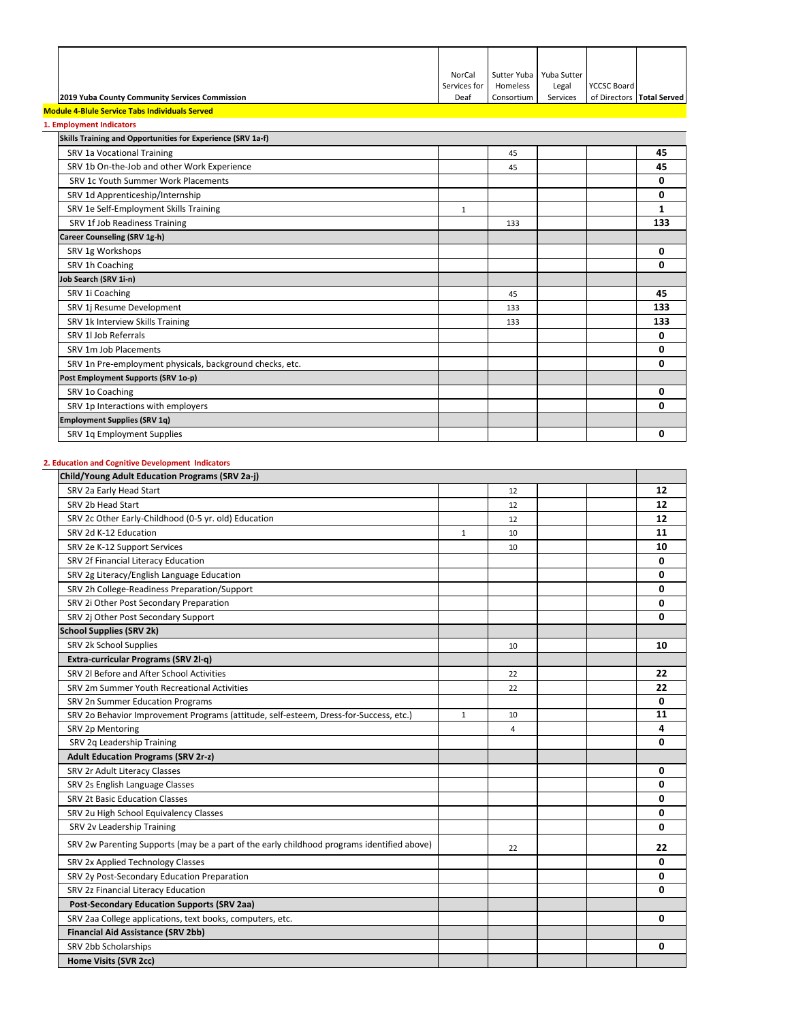|                                                | NorCal       | Sutter Yuba   Yuba Sutter |          |                           |  |
|------------------------------------------------|--------------|---------------------------|----------|---------------------------|--|
|                                                | Services for | Homeless                  | Legal    | <b>YCCSC Board</b>        |  |
| 2019 Yuba County Community Services Commission | Deaf         | Consortium                | Services | of Directors Total Served |  |

### **Module 4‐Blule Service Tabs Individuals Served**

| 1. Employment Indicators                                    |              |     |  |     |
|-------------------------------------------------------------|--------------|-----|--|-----|
| Skills Training and Opportunities for Experience (SRV 1a-f) |              |     |  |     |
| SRV 1a Vocational Training                                  |              | 45  |  | 45  |
| SRV 1b On-the-Job and other Work Experience                 |              | 45  |  | 45  |
| SRV 1c Youth Summer Work Placements                         |              |     |  | 0   |
| SRV 1d Apprenticeship/Internship                            |              |     |  | 0   |
| SRV 1e Self-Employment Skills Training                      | $\mathbf{1}$ |     |  | 1   |
| SRV 1f Job Readiness Training                               |              | 133 |  | 133 |
| Career Counseling (SRV 1g-h)                                |              |     |  |     |
| SRV 1g Workshops                                            |              |     |  | 0   |
| SRV 1h Coaching                                             |              |     |  | 0   |
| Job Search (SRV 1i-n)                                       |              |     |  |     |
| SRV 1i Coaching                                             |              | 45  |  | 45  |
| SRV 1j Resume Development                                   |              | 133 |  | 133 |
| SRV 1k Interview Skills Training                            |              | 133 |  | 133 |
| SRV 1LJob Referrals                                         |              |     |  | 0   |
| SRV 1m Job Placements                                       |              |     |  | 0   |
| SRV 1n Pre-employment physicals, background checks, etc.    |              |     |  | 0   |
| Post Employment Supports (SRV 1o-p)                         |              |     |  |     |
| SRV 1o Coaching                                             |              |     |  | 0   |
| SRV 1p Interactions with employers                          |              |     |  | 0   |
| <b>Employment Supplies (SRV 1q)</b>                         |              |     |  |     |
| SRV 1q Employment Supplies                                  |              |     |  | 0   |
|                                                             |              |     |  |     |

## **2. Education and Cognitive Development Indicators**

| Child/Young Adult Education Programs (SRV 2a-j)                                            |              |    |    |
|--------------------------------------------------------------------------------------------|--------------|----|----|
| SRV 2a Early Head Start                                                                    |              | 12 | 12 |
| SRV 2b Head Start                                                                          |              | 12 | 12 |
| SRV 2c Other Early-Childhood (0-5 yr. old) Education                                       |              | 12 | 12 |
| SRV 2d K-12 Education                                                                      | $\mathbf{1}$ | 10 | 11 |
| SRV 2e K-12 Support Services                                                               |              | 10 | 10 |
| SRV 2f Financial Literacy Education                                                        |              |    | 0  |
| SRV 2g Literacy/English Language Education                                                 |              |    | 0  |
| SRV 2h College-Readiness Preparation/Support                                               |              |    | 0  |
| SRV 2i Other Post Secondary Preparation                                                    |              |    | 0  |
| SRV 2j Other Post Secondary Support                                                        |              |    | 0  |
| <b>School Supplies (SRV 2k)</b>                                                            |              |    |    |
| SRV 2k School Supplies                                                                     |              | 10 | 10 |
| Extra-curricular Programs (SRV 2l-q)                                                       |              |    |    |
| SRV 2l Before and After School Activities                                                  |              | 22 | 22 |
| SRV 2m Summer Youth Recreational Activities                                                |              | 22 | 22 |
| SRV 2n Summer Education Programs                                                           |              |    | 0  |
| SRV 2o Behavior Improvement Programs (attitude, self-esteem, Dress-for-Success, etc.)      | $\mathbf{1}$ | 10 | 11 |
| SRV 2p Mentoring                                                                           |              | 4  | 4  |
| SRV 2q Leadership Training                                                                 |              |    | 0  |
| <b>Adult Education Programs (SRV 2r-z)</b>                                                 |              |    |    |
| SRV 2r Adult Literacy Classes                                                              |              |    | 0  |
| SRV 2s English Language Classes                                                            |              |    | 0  |
| <b>SRV 2t Basic Education Classes</b>                                                      |              |    | 0  |
| SRV 2u High School Equivalency Classes                                                     |              |    | 0  |
| SRV 2v Leadership Training                                                                 |              |    | 0  |
| SRV 2w Parenting Supports (may be a part of the early childhood programs identified above) |              | 22 | 22 |
| SRV 2x Applied Technology Classes                                                          |              |    | 0  |
| SRV 2y Post-Secondary Education Preparation                                                |              |    | 0  |
| SRV 2z Financial Literacy Education                                                        |              |    | 0  |
| <b>Post-Secondary Education Supports (SRV 2aa)</b>                                         |              |    |    |
| SRV 2aa College applications, text books, computers, etc.                                  |              |    | 0  |
| <b>Financial Aid Assistance (SRV 2bb)</b>                                                  |              |    |    |
| SRV 2bb Scholarships                                                                       |              |    | 0  |
| Home Visits (SVR 2cc)                                                                      |              |    |    |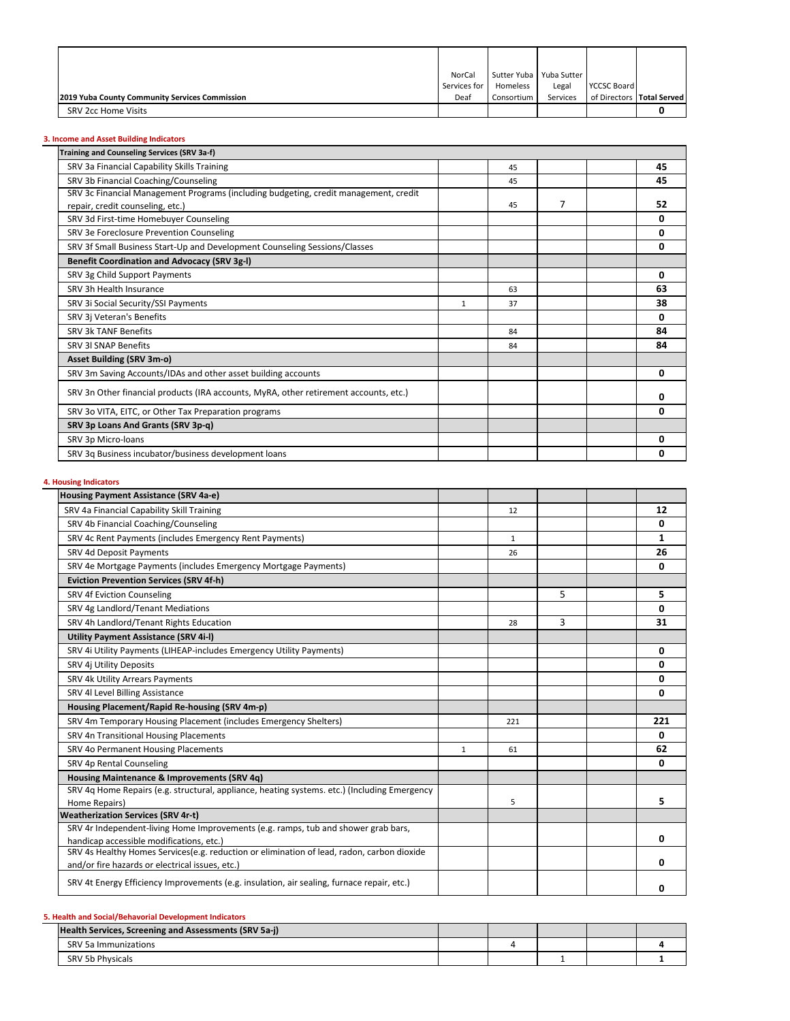|                                                | NorCal       |            | Sutter Yuba   Yuba Sutter |                           |  |
|------------------------------------------------|--------------|------------|---------------------------|---------------------------|--|
|                                                | Services for | Homeless   | Legal                     | <b>YCCSC Board</b>        |  |
| 2019 Yuba County Community Services Commission | Deaf         | Consortium | Services                  | of Directors Total Served |  |
| SRV 2cc Home Visits                            |              |            |                           |                           |  |

# **3. Income and Asset Building Indicators**

| Training and Counseling Services (SRV 3a-f)                                           |   |    |   |    |
|---------------------------------------------------------------------------------------|---|----|---|----|
| SRV 3a Financial Capability Skills Training                                           |   | 45 |   | 45 |
| SRV 3b Financial Coaching/Counseling                                                  |   | 45 |   | 45 |
| SRV 3c Financial Management Programs (including budgeting, credit management, credit  |   |    |   |    |
| repair, credit counseling, etc.)                                                      |   | 45 | 7 | 52 |
| SRV 3d First-time Homebuyer Counseling                                                |   |    |   | 0  |
| SRV 3e Foreclosure Prevention Counseling                                              |   |    |   | 0  |
| SRV 3f Small Business Start-Up and Development Counseling Sessions/Classes            |   |    |   | 0  |
| <b>Benefit Coordination and Advocacy (SRV 3g-I)</b>                                   |   |    |   |    |
| SRV 3g Child Support Payments                                                         |   |    |   | 0  |
| SRV 3h Health Insurance                                                               |   | 63 |   | 63 |
| SRV 3i Social Security/SSI Payments                                                   | 1 | 37 |   | 38 |
| SRV 3j Veteran's Benefits                                                             |   |    |   | 0  |
| SRV 3k TANF Benefits                                                                  |   | 84 |   | 84 |
| <b>SRV 3I SNAP Benefits</b>                                                           |   | 84 |   | 84 |
| <b>Asset Building (SRV 3m-o)</b>                                                      |   |    |   |    |
| SRV 3m Saving Accounts/IDAs and other asset building accounts                         |   |    |   | 0  |
| SRV 3n Other financial products (IRA accounts, MyRA, other retirement accounts, etc.) |   |    |   | 0  |
| SRV 3o VITA, EITC, or Other Tax Preparation programs                                  |   |    |   | 0  |
| SRV 3p Loans And Grants (SRV 3p-q)                                                    |   |    |   |    |
| SRV 3p Micro-loans                                                                    |   |    |   | 0  |
| SRV 3q Business incubator/business development loans                                  |   |    |   | 0  |
|                                                                                       |   |    |   |    |

# **4. Housing Indicators**

| Housing Payment Assistance (SRV 4a-e)                                                        |              |              |   |     |
|----------------------------------------------------------------------------------------------|--------------|--------------|---|-----|
| SRV 4a Financial Capability Skill Training                                                   |              | 12           |   | 12  |
| SRV 4b Financial Coaching/Counseling                                                         |              |              |   | 0   |
| SRV 4c Rent Payments (includes Emergency Rent Payments)                                      |              | $\mathbf{1}$ |   | 1   |
| SRV 4d Deposit Payments                                                                      |              | 26           |   | 26  |
| SRV 4e Mortgage Payments (includes Emergency Mortgage Payments)                              |              |              |   | 0   |
| <b>Eviction Prevention Services (SRV 4f-h)</b>                                               |              |              |   |     |
| SRV 4f Eviction Counseling                                                                   |              |              | 5 | 5   |
| SRV 4g Landlord/Tenant Mediations                                                            |              |              |   | 0   |
| SRV 4h Landlord/Tenant Rights Education                                                      |              | 28           | 3 | 31  |
| <b>Utility Payment Assistance (SRV 4i-I)</b>                                                 |              |              |   |     |
| SRV 4i Utility Payments (LIHEAP-includes Emergency Utility Payments)                         |              |              |   | 0   |
| SRV 4j Utility Deposits                                                                      |              |              |   | 0   |
| SRV 4k Utility Arrears Payments                                                              |              |              |   | 0   |
| SRV 4l Level Billing Assistance                                                              |              |              |   | 0   |
| Housing Placement/Rapid Re-housing (SRV 4m-p)                                                |              |              |   |     |
| SRV 4m Temporary Housing Placement (includes Emergency Shelters)                             |              | 221          |   | 221 |
| SRV 4n Transitional Housing Placements                                                       |              |              |   | 0   |
| SRV 4o Permanent Housing Placements                                                          | $\mathbf{1}$ | 61           |   | 62  |
| SRV 4p Rental Counseling                                                                     |              |              |   | 0   |
| Housing Maintenance & Improvements (SRV 4q)                                                  |              |              |   |     |
| SRV 4q Home Repairs (e.g. structural, appliance, heating systems. etc.) (Including Emergency |              |              |   |     |
| Home Repairs)                                                                                |              | 5            |   | 5   |
| <b>Weatherization Services (SRV 4r-t)</b>                                                    |              |              |   |     |
| SRV 4r Independent-living Home Improvements (e.g. ramps, tub and shower grab bars,           |              |              |   |     |
| handicap accessible modifications, etc.)                                                     |              |              |   | 0   |
| SRV 4s Healthy Homes Services(e.g. reduction or elimination of lead, radon, carbon dioxide   |              |              |   |     |
| and/or fire hazards or electrical issues, etc.)                                              |              |              |   | 0   |
| SRV 4t Energy Efficiency Improvements (e.g. insulation, air sealing, furnace repair, etc.)   |              |              |   | 0   |

# **5. Health and Social/Behavorial Development Indicators**

| Health Services, Screening and Assessments (SRV 5a-j) |  |  |  |
|-------------------------------------------------------|--|--|--|
| SRV 5a Immunizations                                  |  |  |  |
| <b>SRV 5b Physicals</b>                               |  |  |  |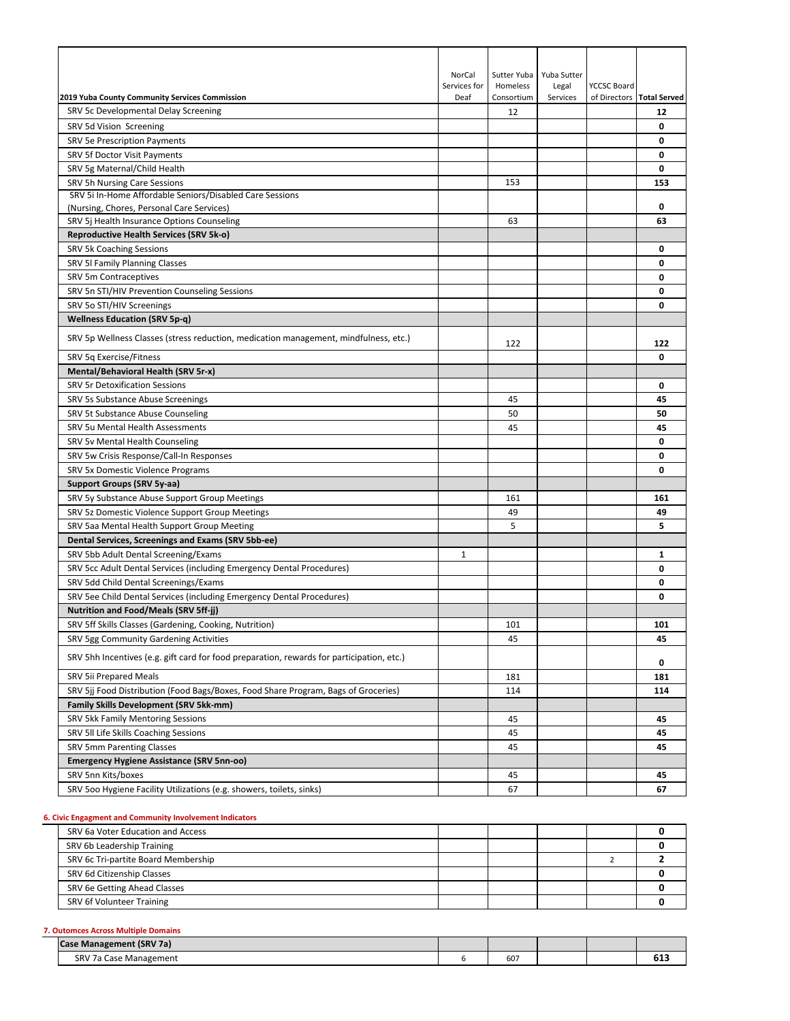|                                                                                           | NorCal       | Sutter Yuba | Yuba Sutter |                    |                           |
|-------------------------------------------------------------------------------------------|--------------|-------------|-------------|--------------------|---------------------------|
|                                                                                           | Services for | Homeless    | Legal       | <b>YCCSC Board</b> |                           |
| 2019 Yuba County Community Services Commission                                            | Deaf         | Consortium  | Services    |                    | of Directors Total Served |
| SRV 5c Developmental Delay Screening                                                      |              | 12          |             |                    | 12                        |
| SRV 5d Vision Screening                                                                   |              |             |             |                    | 0                         |
| <b>SRV 5e Prescription Payments</b>                                                       |              |             |             |                    | 0                         |
| SRV 5f Doctor Visit Payments                                                              |              |             |             |                    | 0                         |
| SRV 5g Maternal/Child Health                                                              |              |             |             |                    | 0                         |
| SRV 5h Nursing Care Sessions                                                              |              | 153         |             |                    | 153                       |
| SRV 5i In-Home Affordable Seniors/Disabled Care Sessions                                  |              |             |             |                    |                           |
| (Nursing, Chores, Personal Care Services)                                                 |              |             |             |                    | 0                         |
| SRV 5j Health Insurance Options Counseling                                                |              | 63          |             |                    | 63                        |
| Reproductive Health Services (SRV 5k-o)                                                   |              |             |             |                    |                           |
| SRV 5k Coaching Sessions                                                                  |              |             |             |                    | 0                         |
| SRV 5I Family Planning Classes                                                            |              |             |             |                    | 0                         |
| SRV 5m Contraceptives                                                                     |              |             |             |                    | 0                         |
| SRV 5n STI/HIV Prevention Counseling Sessions                                             |              |             |             |                    | 0                         |
| SRV 5o STI/HIV Screenings                                                                 |              |             |             |                    | 0                         |
| <b>Wellness Education (SRV 5p-q)</b>                                                      |              |             |             |                    |                           |
| SRV 5p Wellness Classes (stress reduction, medication management, mindfulness, etc.)      |              | 122         |             |                    | 122                       |
| SRV 5q Exercise/Fitness                                                                   |              |             |             |                    | 0                         |
| Mental/Behavioral Health (SRV 5r-x)                                                       |              |             |             |                    |                           |
| <b>SRV 5r Detoxification Sessions</b>                                                     |              |             |             |                    | 0                         |
| SRV 5s Substance Abuse Screenings                                                         |              | 45          |             |                    | 45                        |
| SRV 5t Substance Abuse Counseling                                                         |              | 50          |             |                    | 50                        |
| SRV 5u Mental Health Assessments                                                          |              | 45          |             |                    | 45                        |
| SRV 5v Mental Health Counseling                                                           |              |             |             |                    | 0                         |
| SRV 5w Crisis Response/Call-In Responses                                                  |              |             |             |                    | 0                         |
| SRV 5x Domestic Violence Programs                                                         |              |             |             |                    | 0                         |
| Support Groups (SRV 5y-aa)                                                                |              |             |             |                    |                           |
| SRV 5y Substance Abuse Support Group Meetings                                             |              | 161         |             |                    | 161                       |
| SRV 5z Domestic Violence Support Group Meetings                                           |              | 49          |             |                    | 49                        |
| SRV 5aa Mental Health Support Group Meeting                                               |              | 5           |             |                    | 5                         |
| Dental Services, Screenings and Exams (SRV 5bb-ee)                                        |              |             |             |                    |                           |
| SRV 5bb Adult Dental Screening/Exams                                                      | 1            |             |             |                    | 1                         |
| SRV 5cc Adult Dental Services (including Emergency Dental Procedures)                     |              |             |             |                    | 0                         |
| SRV 5dd Child Dental Screenings/Exams                                                     |              |             |             |                    | 0                         |
| SRV 5ee Child Dental Services (including Emergency Dental Procedures)                     |              |             |             |                    | 0                         |
| <b>Nutrition and Food/Meals (SRV 5ff-jj)</b>                                              |              |             |             |                    |                           |
| SRV 5ff Skills Classes (Gardening, Cooking, Nutrition)                                    |              | 101         |             |                    | 101                       |
| SRV 5gg Community Gardening Activities                                                    |              | 45          |             |                    | 45                        |
|                                                                                           |              |             |             |                    |                           |
| SRV 5hh Incentives (e.g. gift card for food preparation, rewards for participation, etc.) |              |             |             |                    | 0                         |
| <b>SRV 5ii Prepared Meals</b>                                                             |              | 181         |             |                    | 181                       |
| SRV 5jj Food Distribution (Food Bags/Boxes, Food Share Program, Bags of Groceries)        |              | 114         |             |                    | 114                       |
| <b>Family Skills Development (SRV 5kk-mm)</b>                                             |              |             |             |                    |                           |
| SRV 5kk Family Mentoring Sessions                                                         |              | 45          |             |                    | 45                        |
| SRV 5II Life Skills Coaching Sessions                                                     |              | 45          |             |                    | 45                        |
| SRV 5mm Parenting Classes                                                                 |              | 45          |             |                    | 45                        |
| <b>Emergency Hygiene Assistance (SRV 5nn-oo)</b>                                          |              |             |             |                    |                           |
| SRV 5nn Kits/boxes                                                                        |              | 45          |             |                    | 45                        |
| SRV 500 Hygiene Facility Utilizations (e.g. showers, toilets, sinks)                      |              | 67          |             |                    | 67                        |

# **6. Civic Engagment and Community Involvement Indicators**

| SRV 6a Voter Education and Access   |  |  |  |
|-------------------------------------|--|--|--|
| SRV 6b Leadership Training          |  |  |  |
| SRV 6c Tri-partite Board Membership |  |  |  |
| SRV 6d Citizenship Classes          |  |  |  |
| SRV 6e Getting Ahead Classes        |  |  |  |
| SRV 6f Volunteer Training           |  |  |  |
|                                     |  |  |  |

## **7. Outomces Across Multiple Domains**

|            | e Management (SRV 7a) |             |  |  |
|------------|-----------------------|-------------|--|--|
| <b>SR\</b> | Management י<br>case  | 607<br>$ -$ |  |  |
|            |                       |             |  |  |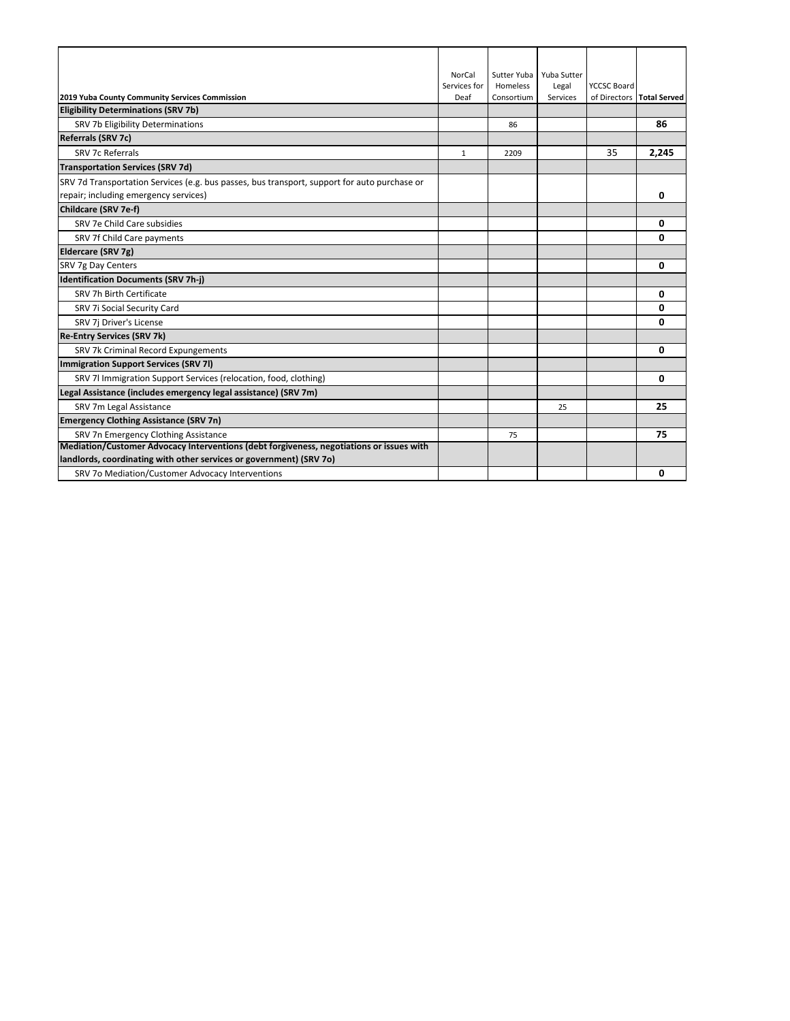|                                                                                              | <b>NorCal</b> | Sutter Yuba | Yuba Sutter |                    |                           |
|----------------------------------------------------------------------------------------------|---------------|-------------|-------------|--------------------|---------------------------|
|                                                                                              | Services for  | Homeless    | Legal       | <b>YCCSC Board</b> |                           |
| 2019 Yuba County Community Services Commission                                               | Deaf          | Consortium  | Services    |                    | of Directors Total Served |
| <b>Eligibility Determinations (SRV 7b)</b>                                                   |               |             |             |                    |                           |
| SRV 7b Eligibility Determinations                                                            |               | 86          |             |                    | 86                        |
| <b>Referrals (SRV 7c)</b>                                                                    |               |             |             |                    |                           |
| SRV 7c Referrals                                                                             | $\mathbf{1}$  | 2209        |             | 35                 | 2,245                     |
| <b>Transportation Services (SRV 7d)</b>                                                      |               |             |             |                    |                           |
| SRV 7d Transportation Services (e.g. bus passes, bus transport, support for auto purchase or |               |             |             |                    |                           |
| repair; including emergency services)                                                        |               |             |             |                    | 0                         |
| Childcare (SRV 7e-f)                                                                         |               |             |             |                    |                           |
| SRV 7e Child Care subsidies                                                                  |               |             |             |                    | 0                         |
| SRV 7f Child Care payments                                                                   |               |             |             |                    | 0                         |
| Eldercare (SRV 7g)                                                                           |               |             |             |                    |                           |
| SRV 7g Day Centers                                                                           |               |             |             |                    | 0                         |
| <b>Identification Documents (SRV 7h-j)</b>                                                   |               |             |             |                    |                           |
| SRV 7h Birth Certificate                                                                     |               |             |             |                    | 0                         |
| SRV 7i Social Security Card                                                                  |               |             |             |                    | 0                         |
| SRV 7j Driver's License                                                                      |               |             |             |                    | 0                         |
| <b>Re-Entry Services (SRV 7k)</b>                                                            |               |             |             |                    |                           |
| SRV 7k Criminal Record Expungements                                                          |               |             |             |                    | 0                         |
| Immigration Support Services (SRV 7I)                                                        |               |             |             |                    |                           |
| SRV 7l Immigration Support Services (relocation, food, clothing)                             |               |             |             |                    | 0                         |
| Legal Assistance (includes emergency legal assistance) (SRV 7m)                              |               |             |             |                    |                           |
| SRV 7m Legal Assistance                                                                      |               |             | 25          |                    | 25                        |
| <b>Emergency Clothing Assistance (SRV 7n)</b>                                                |               |             |             |                    |                           |
| SRV 7n Emergency Clothing Assistance                                                         |               | 75          |             |                    | 75                        |
| Mediation/Customer Advocacy Interventions (debt forgiveness, negotiations or issues with     |               |             |             |                    |                           |
| landlords, coordinating with other services or government) (SRV 70)                          |               |             |             |                    |                           |
| SRV 7o Mediation/Customer Advocacy Interventions                                             |               |             |             |                    | 0                         |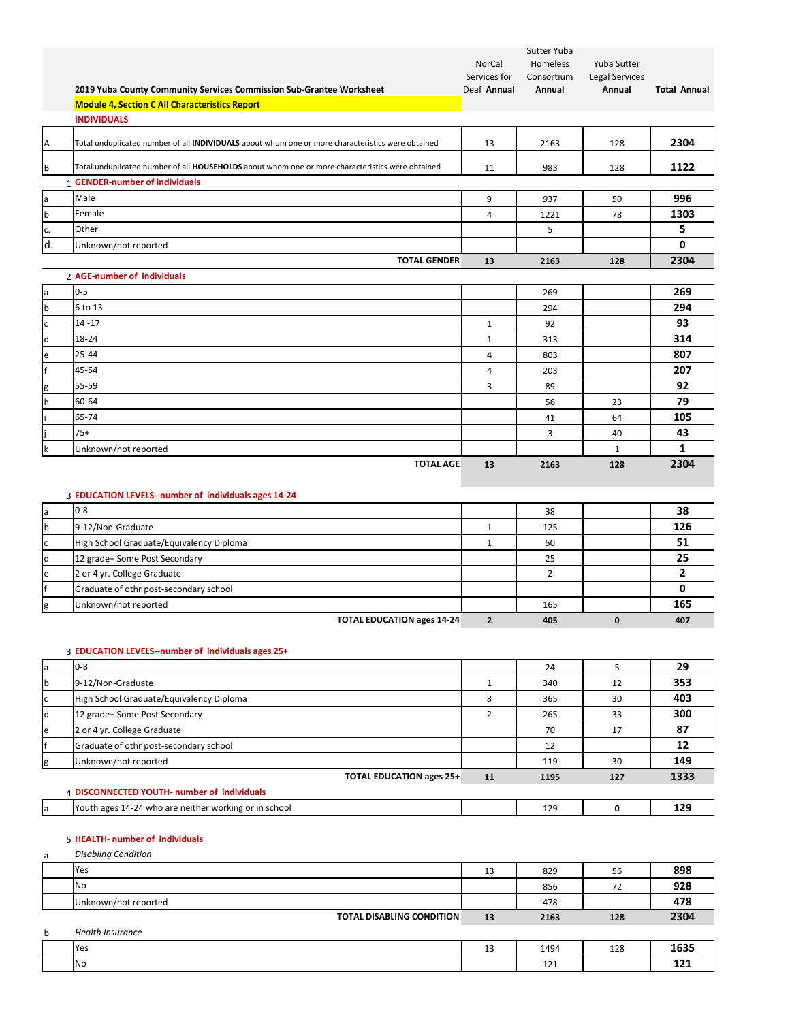|              | 2019 Yuba County Community Services Commission Sub-Grantee Worksheet<br><b>Module 4, Section C All Characteristics Report</b> | NorCal<br>Services for<br>Deaf Annual | Sutter Yuba<br>Homeless<br>Consortium<br>Annual | Yuba Sutter<br><b>Legal Services</b><br>Annual | <b>Total Annual</b> |
|--------------|-------------------------------------------------------------------------------------------------------------------------------|---------------------------------------|-------------------------------------------------|------------------------------------------------|---------------------|
|              | <b>INDIVIDUALS</b>                                                                                                            |                                       |                                                 |                                                |                     |
| A            | Total unduplicated number of all INDIVIDUALS about whom one or more characteristics were obtained                             | 13                                    | 2163                                            | 128                                            | 2304                |
| B            | Total unduplicated number of all HOUSEHOLDS about whom one or more characteristics were obtained                              | 11                                    | 983                                             | 128                                            | 1122                |
|              | 1 GENDER-number of individuals                                                                                                |                                       |                                                 |                                                |                     |
| a            | Male                                                                                                                          | 9                                     | 937                                             | 50                                             | 996                 |
| $\mathsf b$  | Female                                                                                                                        | 4                                     | 1221                                            | 78                                             | 1303                |
| c.           | Other                                                                                                                         |                                       | 5                                               |                                                | 5                   |
| d.           | Unknown/not reported                                                                                                          |                                       |                                                 |                                                | 0                   |
|              | <b>TOTAL GENDER</b>                                                                                                           | 13                                    | 2163                                            | 128                                            | 2304                |
|              | 2 AGE-number of individuals                                                                                                   |                                       |                                                 |                                                |                     |
| a            | $0 - 5$                                                                                                                       |                                       | 269                                             |                                                | 269                 |
| b            | 6 to 13                                                                                                                       |                                       | 294                                             |                                                | 294                 |
| $\mathsf{c}$ | $14 - 17$                                                                                                                     | $\mathbf{1}$                          | 92                                              |                                                | 93                  |
| d            | 18-24                                                                                                                         | $\mathbf{1}$                          | 313                                             |                                                | 314                 |
| e            | 25-44                                                                                                                         | 4                                     | 803                                             |                                                | 807                 |
| f            | 45-54                                                                                                                         | 4                                     | 203                                             |                                                | 207                 |
| g            | 55-59                                                                                                                         | 3                                     | 89                                              |                                                | 92                  |
| h            | 60-64                                                                                                                         |                                       | 56                                              | 23                                             | 79                  |
|              | 65-74                                                                                                                         |                                       | 41                                              | 64                                             | 105                 |
|              | $75+$                                                                                                                         |                                       | 3                                               | 40                                             | 43                  |
| $\mathsf k$  | Unknown/not reported                                                                                                          |                                       |                                                 | $\mathbf{1}$                                   | $\mathbf{1}$        |
|              | <b>TOTAL AGE</b>                                                                                                              | 13                                    | 2163                                            | 128                                            | 2304                |
|              | 3 EDUCATION LEVELS--number of individuals ages 14-24                                                                          |                                       |                                                 |                                                |                     |
| a            | $0 - 8$                                                                                                                       |                                       | 38                                              |                                                | 38                  |
| $\mathsf b$  | 9-12/Non-Graduate                                                                                                             | $\mathbf{1}$                          | 125                                             |                                                | 126                 |
| c            | High School Graduate/Equivalency Diploma                                                                                      | $\mathbf{1}$                          | 50                                              |                                                | 51                  |
| d            | 12 grade+ Some Post Secondary                                                                                                 |                                       | 25                                              |                                                | 25                  |
| e            | 2 or 4 yr. College Graduate                                                                                                   |                                       | $\overline{2}$                                  |                                                | $\overline{2}$      |
|              | Graduate of othr post-secondary school                                                                                        |                                       |                                                 |                                                | $\mathbf{0}$        |
| g            | Unknown/not reported                                                                                                          |                                       | 165                                             |                                                | 165                 |

**TOTAL EDUCATION ages 14‐24 2 405 0 407**

g Unknown/not reported 165 **165**

## 3 **EDUCATION LEVELS‐‐number of individuals ages 25+**

| a   | $0 - 8$                                               |    | 24   |     | 29   |
|-----|-------------------------------------------------------|----|------|-----|------|
| 1b. | 9-12/Non-Graduate                                     |    | 340  | 12  | 353  |
|     | High School Graduate/Equivalency Diploma              | 8  | 365  | 30  | 403  |
| ld  | 12 grade+ Some Post Secondary                         |    | 265  | 33  | 300  |
| le  | 2 or 4 yr. College Graduate                           |    | 70   | 17  | 87   |
|     | Graduate of othr post-secondary school                |    | 12   |     | 12   |
| ıg  | Unknown/not reported                                  |    | 119  | 30  | 149  |
|     | <b>TOTAL EDUCATION ages 25+</b>                       | 11 | 1195 | 127 | 1333 |
|     | 4 DISCONNECTED YOUTH- number of individuals           |    |      |     |      |
|     | Youth ages 14-24 who are neither working or in school |    | 129  |     | 129  |

## 5 **HEALTH‐ number of individuals**

a *Disabling Condition*

|   | Yes                              | 13 | 829  | 56  | 898  |
|---|----------------------------------|----|------|-----|------|
|   | <b>No</b>                        |    | 856  | 72  | 928  |
|   | Unknown/not reported             |    | 478  |     | 478  |
|   | <b>TOTAL DISABLING CONDITION</b> | 13 | 2163 | 128 | 2304 |
| b | <b>Health Insurance</b>          |    |      |     |      |
|   | Yes                              | 13 | 1494 | 128 | 1635 |
|   | No                               |    | 121  |     | 121  |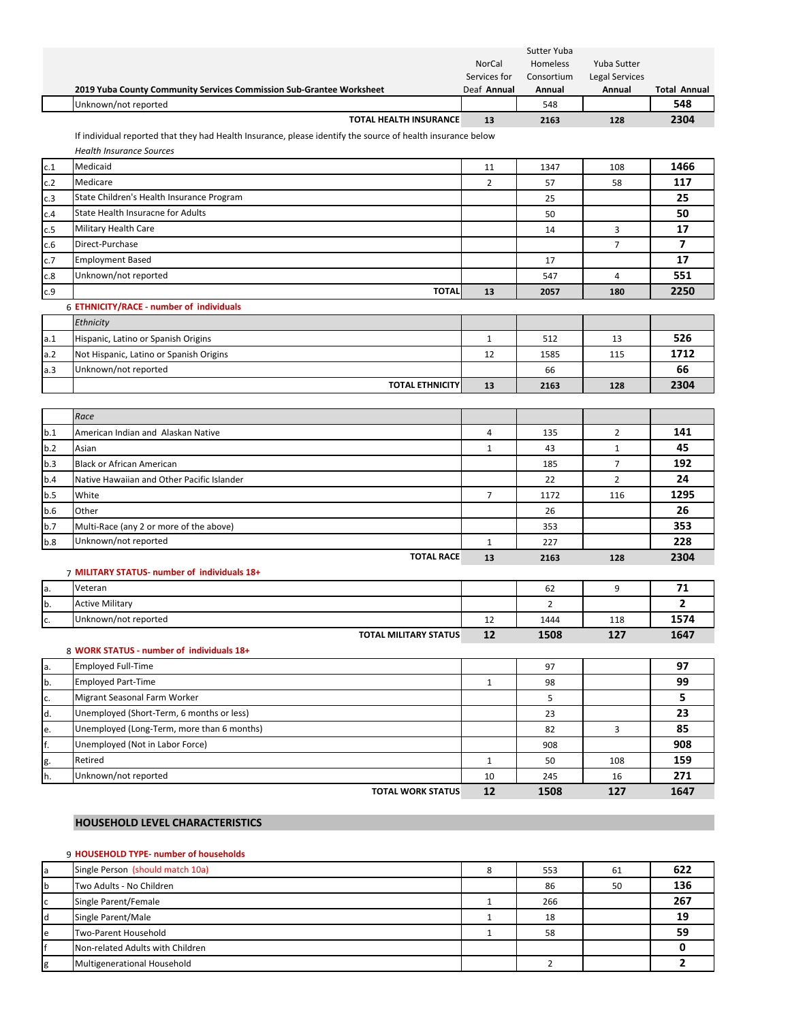|            | 2019 Yuba County Community Services Commission Sub-Grantee Worksheet                                        | NorCal<br>Services for<br>Deaf Annual | Sutter Yuba<br>Homeless<br>Consortium<br>Annual | Yuba Sutter<br><b>Legal Services</b><br>Annual | <b>Total Annual</b> |
|------------|-------------------------------------------------------------------------------------------------------------|---------------------------------------|-------------------------------------------------|------------------------------------------------|---------------------|
|            | Unknown/not reported                                                                                        |                                       | 548                                             |                                                | 548                 |
|            | TOTAL HEALTH INSURANCE                                                                                      | 13                                    | 2163                                            | 128                                            | 2304                |
|            | If individual reported that they had Health Insurance, please identify the source of health insurance below |                                       |                                                 |                                                |                     |
|            | <b>Health Insurance Sources</b>                                                                             |                                       |                                                 |                                                |                     |
| c.1        | Medicaid                                                                                                    | 11                                    | 1347                                            | 108                                            | 1466                |
| c.2        | Medicare                                                                                                    | $\overline{2}$                        | 57                                              | 58                                             | 117                 |
| c.3        | State Children's Health Insurance Program                                                                   |                                       | 25                                              |                                                | 25                  |
| c.4        | State Health Insuracne for Adults                                                                           |                                       | 50                                              |                                                | 50                  |
| c.5        | Military Health Care                                                                                        |                                       | 14                                              | 3                                              | 17                  |
| c.6        | Direct-Purchase                                                                                             |                                       |                                                 | $\overline{7}$                                 | 7                   |
| c.7        | <b>Employment Based</b>                                                                                     |                                       | 17                                              |                                                | 17                  |
| c.8        | Unknown/not reported                                                                                        |                                       | 547                                             | 4                                              | 551                 |
| c.9        | <b>TOTAL</b>                                                                                                | 13                                    | 2057                                            | 180                                            | 2250                |
|            | 6 ETHNICITY/RACE - number of individuals                                                                    |                                       |                                                 |                                                |                     |
|            | Ethnicity                                                                                                   |                                       |                                                 |                                                |                     |
| a.1        | Hispanic, Latino or Spanish Origins                                                                         | $\mathbf{1}$                          | 512                                             | 13                                             | 526                 |
| a.2        | Not Hispanic, Latino or Spanish Origins                                                                     | 12                                    | 1585                                            | 115                                            | 1712                |
| a.3        | Unknown/not reported                                                                                        |                                       | 66                                              |                                                | 66                  |
|            | <b>TOTAL ETHNICITY</b>                                                                                      | 13                                    | 2163                                            | 128                                            | 2304                |
|            |                                                                                                             |                                       |                                                 |                                                |                     |
|            | Race                                                                                                        |                                       |                                                 |                                                |                     |
| b.1        | American Indian and Alaskan Native                                                                          | 4                                     | 135                                             | $\overline{2}$                                 | 141                 |
| b.2        | Asian                                                                                                       | $\mathbf{1}$                          | 43                                              | $\mathbf{1}$                                   | 45<br>192           |
| b.3        | <b>Black or African American</b>                                                                            |                                       | 185                                             | $\overline{7}$                                 | 24                  |
| b.4        | Native Hawaiian and Other Pacific Islander                                                                  |                                       | 22                                              | $\overline{2}$                                 | 1295                |
| b.5        | White<br>Other                                                                                              | $\overline{7}$                        | 1172                                            | 116                                            | 26                  |
| b.6<br>b.7 |                                                                                                             |                                       | 26                                              |                                                | 353                 |
| b.8        | Multi-Race (any 2 or more of the above)<br>Unknown/not reported                                             | $\mathbf{1}$                          | 353<br>227                                      |                                                | 228                 |
|            | <b>TOTAL RACE</b>                                                                                           | 13                                    | 2163                                            | 128                                            | 2304                |
|            | 7 MILITARY STATUS- number of individuals 18+                                                                |                                       |                                                 |                                                |                     |
| a.         | Veteran                                                                                                     |                                       | 62                                              | 9                                              | 71                  |
| b.         | <b>Active Military</b>                                                                                      |                                       | $\overline{2}$                                  |                                                | $\overline{2}$      |
|            | Unknown/not reported                                                                                        | 12                                    | 1444                                            | 118                                            | 1574                |
| <u>c.</u>  | <b>TOTAL MILITARY STATUS</b>                                                                                | 12                                    | 1508                                            | 127                                            | 1647                |
|            | 8 WORK STATUS - number of individuals 18+                                                                   |                                       |                                                 |                                                |                     |
| a.         | <b>Employed Full-Time</b>                                                                                   |                                       | 97                                              |                                                | 97                  |
| b.         | <b>Employed Part-Time</b>                                                                                   | $\mathbf{1}$                          | 98                                              |                                                | 99                  |
| c.         | Migrant Seasonal Farm Worker                                                                                |                                       | 5                                               |                                                | 5                   |
| d.         | Unemployed (Short-Term, 6 months or less)                                                                   |                                       | 23                                              |                                                | 23                  |
| e.         | Unemployed (Long-Term, more than 6 months)                                                                  |                                       | 82                                              | 3                                              | 85                  |
| f.         | Unemployed (Not in Labor Force)                                                                             |                                       | 908                                             |                                                | 908                 |
| g.         | Retired                                                                                                     | $\mathbf{1}$                          | 50                                              | 108                                            | 159                 |
| h.         | Unknown/not reported                                                                                        | 10                                    | 245                                             | 16                                             | 271                 |
|            | <b>TOTAL WORK STATUS</b>                                                                                    | 12                                    | 1508                                            | 127                                            | 1647                |
|            | HOUSEHOLD LEVEL CHARACTERISTICS                                                                             |                                       |                                                 |                                                |                     |

## 9 **HOUSEHOLD TYPE‐ number of households**

| la          | Single Person (should match 10a) | 8 | 553 | 61 | 622 |
|-------------|----------------------------------|---|-----|----|-----|
| $\mathbf b$ | Two Adults - No Children         |   | 86  | 50 | 136 |
| c           | Single Parent/Female             |   | 266 |    | 267 |
| ld          | Single Parent/Male               |   | 18  |    | 19  |
| le          | Two-Parent Household             |   | 58  |    | 59  |
|             | Non-related Adults with Children |   |     |    |     |
| g           | Multigenerational Household      |   |     |    |     |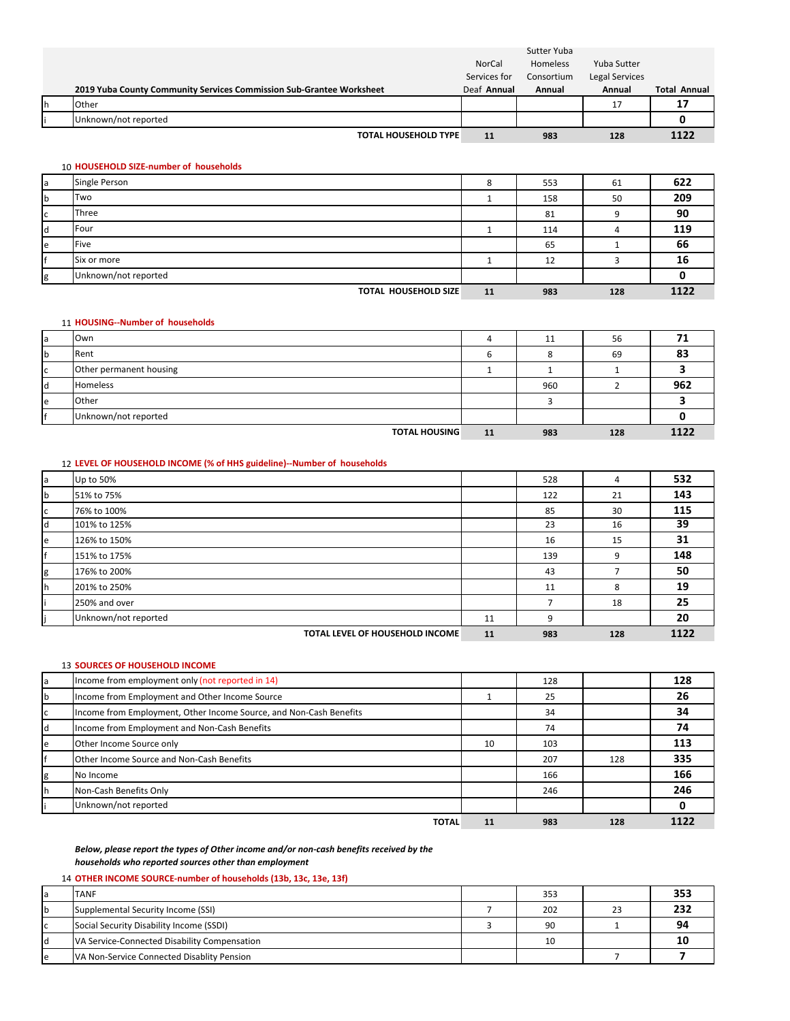|    |                                                                      |              | Sutter Yuba |                |                     |
|----|----------------------------------------------------------------------|--------------|-------------|----------------|---------------------|
|    |                                                                      | NorCal       | Homeless    | Yuba Sutter    |                     |
|    |                                                                      | Services for | Consortium  | Legal Services |                     |
|    | 2019 Yuba County Community Services Commission Sub-Grantee Worksheet | Deaf Annual  | Annual      | Annual         | <b>Total Annual</b> |
| Ιh | Other                                                                |              |             | 17             | 17                  |
|    | Unknown/not reported                                                 |              |             |                |                     |
|    | <b>TOTAL HOUSEHOLD TYPE</b>                                          | 11           | 983         | 128            | 1122                |

### 10 **HOUSEHOLD SIZE‐number of households**

| la | Single Person               | 8  | 553 | 61  | 622  |
|----|-----------------------------|----|-----|-----|------|
| b  | Two                         |    | 158 | 50  | 209  |
| C  | Three                       |    | 81  | a   | 90   |
| ld | Four                        |    | 114 | 4   | 119  |
| le | Five                        |    | 65  |     | 66   |
|    | Six or more                 |    | 12  |     | 16   |
| g  | Unknown/not reported        |    |     |     |      |
|    | <b>TOTAL HOUSEHOLD SIZE</b> | 11 | 983 | 128 | 1122 |

### 11 **HOUSING‐‐Number of households**

|   | Own                     |    | 11  | 56  |      |
|---|-------------------------|----|-----|-----|------|
|   | Rent                    | b  | Ω   | 69  | 83   |
| ◡ | Other permanent housing |    |     |     |      |
|   | <b>Homeless</b>         |    | 960 |     | 962  |
| e | Other                   |    |     |     |      |
|   | Unknown/not reported    |    |     |     |      |
|   | <b>TOTAL HOUSING</b>    | 11 | 983 | 128 | 1122 |

### 12 **LEVEL OF HOUSEHOLD INCOME (% of HHS guideline)‐‐Number of households**

| a | Up to 50%                       |    | 528 | 4   | 532  |
|---|---------------------------------|----|-----|-----|------|
| b | 51% to 75%                      |    | 122 | 21  | 143  |
| c | 76% to 100%                     |    | 85  | 30  | 115  |
|   | 101% to 125%                    |    | 23  | 16  | 39   |
| e | 126% to 150%                    |    | 16  | 15  | 31   |
|   | 151% to 175%                    |    | 139 | 9   | 148  |
| g | 176% to 200%                    |    | 43  |     | 50   |
|   | 201% to 250%                    |    | 11  | 8   | 19   |
|   | 250% and over                   |    |     | 18  | 25   |
|   | Unknown/not reported            | 11 | q   |     | 20   |
|   | TOTAL LEVEL OF HOUSEHOLD INCOME | 11 | 983 | 128 | 1122 |

### 13 **SOURCES OF HOUSEHOLD INCOME**

| la | Income from employment only (not reported in 14)                   |    | 128 |     | 128 |
|----|--------------------------------------------------------------------|----|-----|-----|-----|
| b  | Income from Employment and Other Income Source                     |    | 25  |     | 26  |
| C  | Income from Employment, Other Income Source, and Non-Cash Benefits |    | 34  |     | 34  |
| ld | Income from Employment and Non-Cash Benefits                       |    | 74  |     | 74  |
| le | Other Income Source only                                           | 10 | 103 |     | 113 |
|    | Other Income Source and Non-Cash Benefits                          |    | 207 | 128 | 335 |
| g  | No Income                                                          |    | 166 |     | 166 |
| Ih | Non-Cash Benefits Only                                             |    | 246 |     | 246 |
|    | Unknown/not reported                                               |    |     |     |     |
|    | <b>TOTAL</b>                                                       | 11 | 983 | 128 |     |

*Below, please report the types of Other income and/or non‐cash benefits received by the households who reported sources other than employment*

### 14 **OTHER INCOME SOURCE‐number of households (13b, 13c, 13e, 13f)**

| la | <b>TANF</b>                                  | 353 | 353 |
|----|----------------------------------------------|-----|-----|
| lb | Supplemental Security Income (SSI)           | 202 | 232 |
| ГC | Social Security Disability Income (SSDI)     | 90  | 94  |
| Id | VA Service-Connected Disability Compensation | 10  |     |
| le | VA Non-Service Connected Disablity Pension   |     |     |